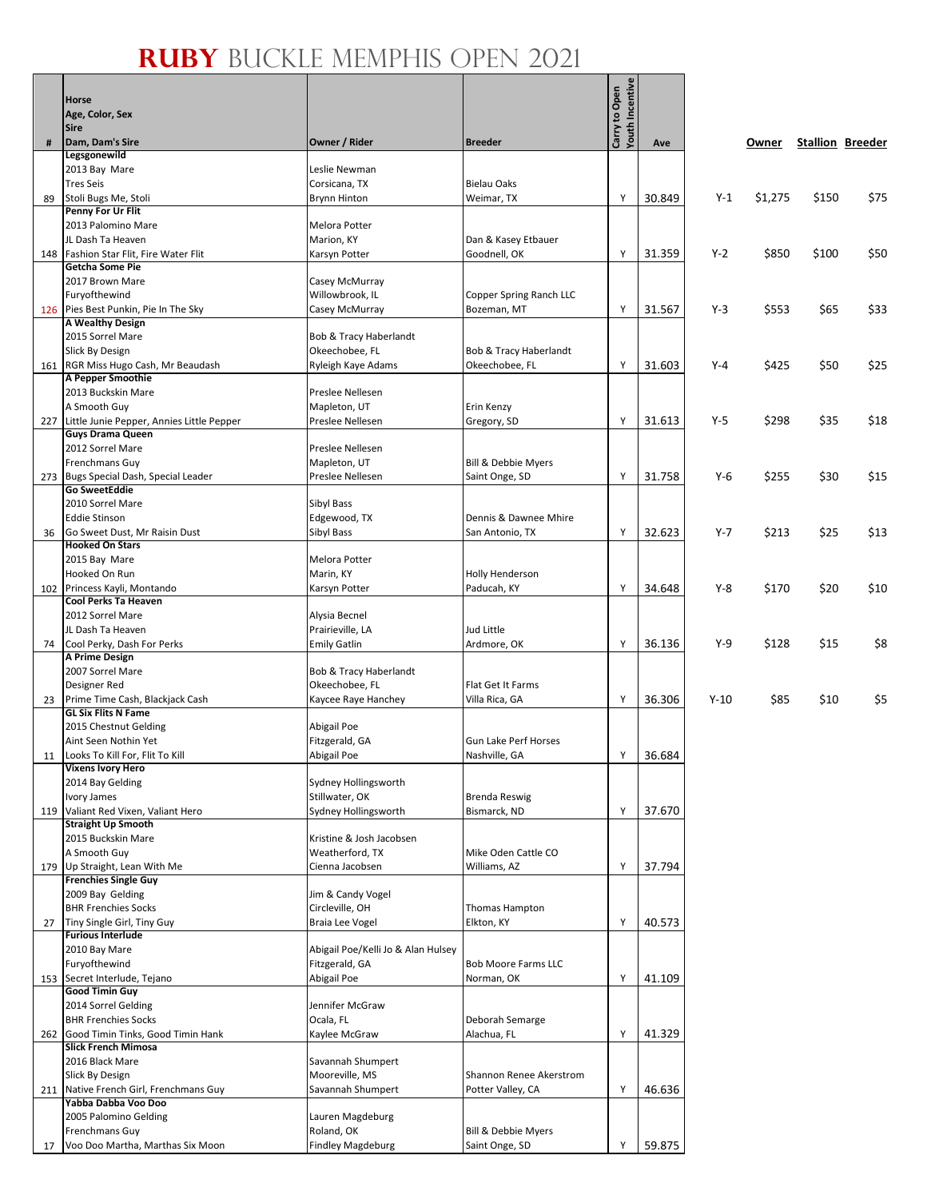## **Ruby** Buckle Memphis Open 2021

 $\mathbf{g}$ 

|     | <b>Horse</b>                                                  |                                       |                                          | <b>Youth Incentive</b><br>Carry to Open |        |         |         |                         |      |
|-----|---------------------------------------------------------------|---------------------------------------|------------------------------------------|-----------------------------------------|--------|---------|---------|-------------------------|------|
|     | Age, Color, Sex                                               |                                       |                                          |                                         |        |         |         |                         |      |
|     | <b>Sire</b>                                                   |                                       |                                          |                                         |        |         |         |                         |      |
| #   | Dam, Dam's Sire                                               | Owner / Rider                         | <b>Breeder</b>                           |                                         | Ave    |         | Owner   | <b>Stallion Breeder</b> |      |
|     | Legsgonewild<br>2013 Bay Mare                                 | Leslie Newman                         |                                          |                                         |        |         |         |                         |      |
|     | <b>Tres Seis</b>                                              | Corsicana, TX                         | <b>Bielau Oaks</b>                       |                                         |        |         |         |                         |      |
| 89  | Stoli Bugs Me, Stoli                                          | <b>Brynn Hinton</b>                   | Weimar, TX                               | Y                                       | 30.849 | $Y-1$   | \$1,275 | \$150                   | \$75 |
|     | Penny For Ur Flit                                             |                                       |                                          |                                         |        |         |         |                         |      |
|     | 2013 Palomino Mare                                            | Melora Potter                         |                                          |                                         |        |         |         |                         |      |
|     | JL Dash Ta Heaven                                             | Marion, KY                            | Dan & Kasey Etbauer                      |                                         |        |         |         |                         |      |
|     | 148 Fashion Star Flit, Fire Water Flit<br>Getcha Some Pie     | Karsyn Potter                         | Goodnell, OK                             | Υ                                       | 31.359 | $Y-2$   | \$850   | \$100                   | \$50 |
|     | 2017 Brown Mare                                               | Casey McMurray                        |                                          |                                         |        |         |         |                         |      |
|     | Furyofthewind                                                 | Willowbrook, IL                       | Copper Spring Ranch LLC                  |                                         |        |         |         |                         |      |
|     | 126 Pies Best Punkin, Pie In The Sky                          | Casey McMurray                        | Bozeman, MT                              | Y                                       | 31.567 | $Y-3$   | \$553   | \$65                    | \$33 |
|     | A Wealthy Design                                              |                                       |                                          |                                         |        |         |         |                         |      |
|     | 2015 Sorrel Mare                                              | Bob & Tracy Haberlandt                |                                          |                                         |        |         |         |                         |      |
|     | Slick By Design<br>161 RGR Miss Hugo Cash, Mr Beaudash        | Okeechobee, FL<br>Ryleigh Kaye Adams  | Bob & Tracy Haberlandt<br>Okeechobee, FL | Y                                       | 31.603 | $Y-4$   | \$425   | \$50                    | \$25 |
|     | A Pepper Smoothie                                             |                                       |                                          |                                         |        |         |         |                         |      |
|     | 2013 Buckskin Mare                                            | Preslee Nellesen                      |                                          |                                         |        |         |         |                         |      |
|     | A Smooth Guy                                                  | Mapleton, UT                          | Erin Kenzy                               |                                         |        |         |         |                         |      |
| 227 | Little Junie Pepper, Annies Little Pepper                     | Preslee Nellesen                      | Gregory, SD                              | Y                                       | 31.613 | $Y-5$   | \$298   | \$35                    | \$18 |
|     | <b>Guys Drama Queen</b><br>2012 Sorrel Mare                   | Preslee Nellesen                      |                                          |                                         |        |         |         |                         |      |
|     | <b>Frenchmans Guy</b>                                         | Mapleton, UT                          | Bill & Debbie Myers                      |                                         |        |         |         |                         |      |
|     | 273 Bugs Special Dash, Special Leader                         | Preslee Nellesen                      | Saint Onge, SD                           | Y                                       | 31.758 | $Y-6$   | \$255   | \$30                    | \$15 |
|     | <b>Go SweetEddie</b>                                          |                                       |                                          |                                         |        |         |         |                         |      |
|     | 2010 Sorrel Mare                                              | Sibyl Bass                            |                                          |                                         |        |         |         |                         |      |
| 36  | <b>Eddie Stinson</b><br>Go Sweet Dust, Mr Raisin Dust         | Edgewood, TX<br>Sibyl Bass            | Dennis & Dawnee Mhire<br>San Antonio, TX | Y                                       | 32.623 | $Y - 7$ | \$213   | \$25                    | \$13 |
|     | <b>Hooked On Stars</b>                                        |                                       |                                          |                                         |        |         |         |                         |      |
|     | 2015 Bay Mare                                                 | Melora Potter                         |                                          |                                         |        |         |         |                         |      |
|     | Hooked On Run                                                 | Marin, KY                             | Holly Henderson                          |                                         |        |         |         |                         |      |
| 102 | Princess Kayli, Montando                                      | Karsyn Potter                         | Paducah, KY                              | Y                                       | 34.648 | Y-8     | \$170   | \$20                    | \$10 |
|     | Cool Perks Ta Heaven<br>2012 Sorrel Mare                      | Alysia Becnel                         |                                          |                                         |        |         |         |                         |      |
|     | JL Dash Ta Heaven                                             | Prairieville, LA                      | Jud Little                               |                                         |        |         |         |                         |      |
| 74  | Cool Perky, Dash For Perks                                    | <b>Emily Gatlin</b>                   | Ardmore, OK                              | Y                                       | 36.136 | Y-9     | \$128   | \$15                    | \$8  |
|     | A Prime Design                                                |                                       |                                          |                                         |        |         |         |                         |      |
|     | 2007 Sorrel Mare                                              | Bob & Tracy Haberlandt                |                                          |                                         |        |         |         |                         |      |
|     | Designer Red<br>23 Prime Time Cash, Blackjack Cash            | Okeechobee, FL<br>Kaycee Raye Hanchey | Flat Get It Farms<br>Villa Rica, GA      | Y                                       | 36.306 | $Y-10$  | \$85    | \$10                    | \$5  |
|     | <b>GL Six Flits N Fame</b>                                    |                                       |                                          |                                         |        |         |         |                         |      |
|     | 2015 Chestnut Gelding                                         | Abigail Poe                           |                                          |                                         |        |         |         |                         |      |
|     | Aint Seen Nothin Yet                                          | Fitzgerald, GA                        | <b>Gun Lake Perf Horses</b>              |                                         |        |         |         |                         |      |
|     | 11   Looks To Kill For, Flit To Kill                          | Abigail Poe                           | Nashville, GA                            | Y                                       | 36.684 |         |         |                         |      |
|     | <b>Vixens Ivory Hero</b><br>2014 Bay Gelding                  | Sydney Hollingsworth                  |                                          |                                         |        |         |         |                         |      |
|     | Ivory James                                                   | Stillwater, OK                        | <b>Brenda Reswig</b>                     |                                         |        |         |         |                         |      |
|     | 119 Valiant Red Vixen, Valiant Hero                           | Sydney Hollingsworth                  | Bismarck, ND                             | Y                                       | 37.670 |         |         |                         |      |
|     | <b>Straight Up Smooth</b>                                     |                                       |                                          |                                         |        |         |         |                         |      |
|     | 2015 Buckskin Mare                                            | Kristine & Josh Jacobsen              | Mike Oden Cattle CO                      |                                         |        |         |         |                         |      |
|     | A Smooth Guy<br>179 Up Straight, Lean With Me                 | Weatherford, TX<br>Cienna Jacobsen    | Williams, AZ                             | Υ                                       | 37.794 |         |         |                         |      |
|     | <b>Frenchies Single Guy</b>                                   |                                       |                                          |                                         |        |         |         |                         |      |
|     | 2009 Bay Gelding                                              | Jim & Candy Vogel                     |                                          |                                         |        |         |         |                         |      |
|     | <b>BHR Frenchies Socks</b>                                    | Circleville, OH                       | Thomas Hampton                           |                                         |        |         |         |                         |      |
| 27  | Tiny Single Girl, Tiny Guy<br><b>Furious Interlude</b>        | Braia Lee Vogel                       | Elkton, KY                               | Y                                       | 40.573 |         |         |                         |      |
|     | 2010 Bay Mare                                                 | Abigail Poe/Kelli Jo & Alan Hulsey    |                                          |                                         |        |         |         |                         |      |
|     | Furyofthewind                                                 | Fitzgerald, GA                        | <b>Bob Moore Farms LLC</b>               |                                         |        |         |         |                         |      |
|     | 153 Secret Interlude, Tejano                                  | Abigail Poe                           | Norman, OK                               | Y                                       | 41.109 |         |         |                         |      |
|     | <b>Good Timin Guy</b>                                         |                                       |                                          |                                         |        |         |         |                         |      |
|     | 2014 Sorrel Gelding<br><b>BHR Frenchies Socks</b>             | Jennifer McGraw                       |                                          |                                         |        |         |         |                         |      |
| 262 | Good Timin Tinks, Good Timin Hank                             | Ocala, FL<br>Kaylee McGraw            | Deborah Semarge<br>Alachua, FL           | Y                                       | 41.329 |         |         |                         |      |
|     | <b>Slick French Mimosa</b>                                    |                                       |                                          |                                         |        |         |         |                         |      |
|     | 2016 Black Mare                                               | Savannah Shumpert                     |                                          |                                         |        |         |         |                         |      |
|     | Slick By Design                                               | Mooreville, MS                        | Shannon Renee Akerstrom                  |                                         |        |         |         |                         |      |
|     | 211 Native French Girl, Frenchmans Guy<br>Yabba Dabba Voo Doo | Savannah Shumpert                     | Potter Valley, CA                        | Y                                       | 46.636 |         |         |                         |      |
|     | 2005 Palomino Gelding                                         | Lauren Magdeburg                      |                                          |                                         |        |         |         |                         |      |
|     | Frenchmans Guy                                                | Roland, OK                            | Bill & Debbie Myers                      |                                         |        |         |         |                         |      |
| 17  | Voo Doo Martha, Marthas Six Moon                              | <b>Findley Magdeburg</b>              | Saint Onge, SD                           | Υ                                       | 59.875 |         |         |                         |      |